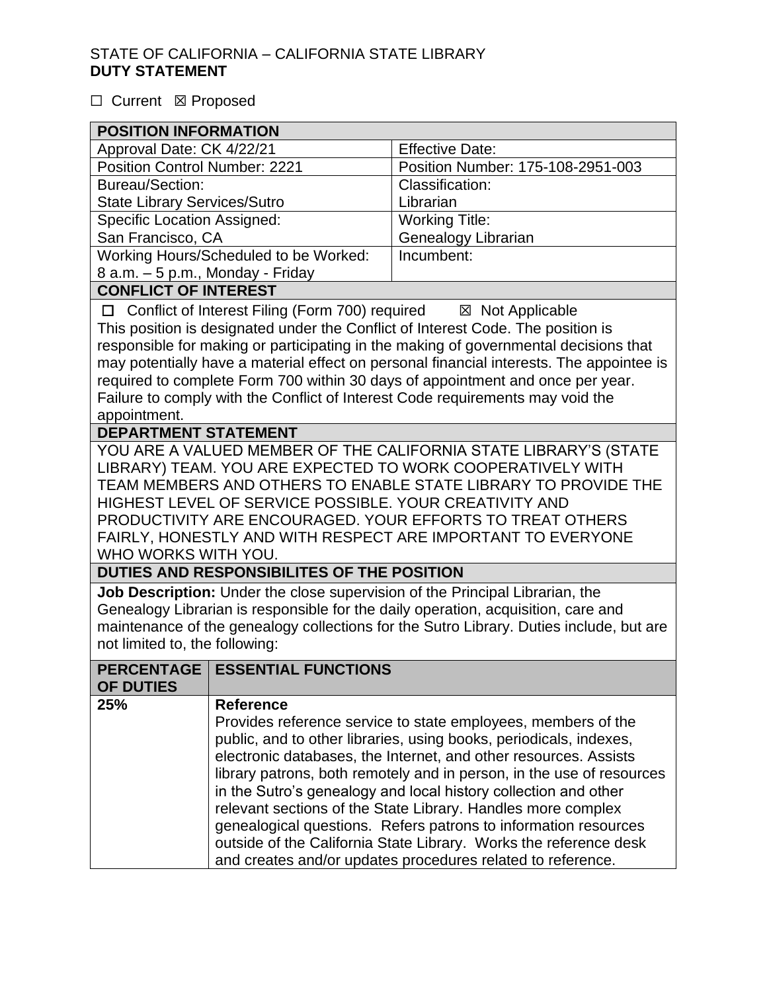#### □ Current **図** Proposed

| <b>POSITION INFORMATION</b>                                                                                                                                                                                                                                                                                                                                                                                                                                                                                                               |                                         |                                                                                                                                                                                                                                                                                                                                                                                                                                                                                                                                                                                                                            |  |  |
|-------------------------------------------------------------------------------------------------------------------------------------------------------------------------------------------------------------------------------------------------------------------------------------------------------------------------------------------------------------------------------------------------------------------------------------------------------------------------------------------------------------------------------------------|-----------------------------------------|----------------------------------------------------------------------------------------------------------------------------------------------------------------------------------------------------------------------------------------------------------------------------------------------------------------------------------------------------------------------------------------------------------------------------------------------------------------------------------------------------------------------------------------------------------------------------------------------------------------------------|--|--|
| Approval Date: CK 4/22/21                                                                                                                                                                                                                                                                                                                                                                                                                                                                                                                 |                                         | <b>Effective Date:</b>                                                                                                                                                                                                                                                                                                                                                                                                                                                                                                                                                                                                     |  |  |
| <b>Position Control Number: 2221</b>                                                                                                                                                                                                                                                                                                                                                                                                                                                                                                      |                                         | Position Number: 175-108-2951-003                                                                                                                                                                                                                                                                                                                                                                                                                                                                                                                                                                                          |  |  |
| <b>Bureau/Section:</b>                                                                                                                                                                                                                                                                                                                                                                                                                                                                                                                    |                                         | Classification:                                                                                                                                                                                                                                                                                                                                                                                                                                                                                                                                                                                                            |  |  |
| <b>State Library Services/Sutro</b>                                                                                                                                                                                                                                                                                                                                                                                                                                                                                                       |                                         | Librarian                                                                                                                                                                                                                                                                                                                                                                                                                                                                                                                                                                                                                  |  |  |
| <b>Specific Location Assigned:</b>                                                                                                                                                                                                                                                                                                                                                                                                                                                                                                        |                                         | <b>Working Title:</b>                                                                                                                                                                                                                                                                                                                                                                                                                                                                                                                                                                                                      |  |  |
| San Francisco, CA                                                                                                                                                                                                                                                                                                                                                                                                                                                                                                                         |                                         | Genealogy Librarian                                                                                                                                                                                                                                                                                                                                                                                                                                                                                                                                                                                                        |  |  |
| Working Hours/Scheduled to be Worked:                                                                                                                                                                                                                                                                                                                                                                                                                                                                                                     |                                         | Incumbent:                                                                                                                                                                                                                                                                                                                                                                                                                                                                                                                                                                                                                 |  |  |
| 8 a.m. - 5 p.m., Monday - Friday                                                                                                                                                                                                                                                                                                                                                                                                                                                                                                          |                                         |                                                                                                                                                                                                                                                                                                                                                                                                                                                                                                                                                                                                                            |  |  |
| <b>CONFLICT OF INTEREST</b>                                                                                                                                                                                                                                                                                                                                                                                                                                                                                                               |                                         |                                                                                                                                                                                                                                                                                                                                                                                                                                                                                                                                                                                                                            |  |  |
| Conflict of Interest Filing (Form 700) required<br>⊠ Not Applicable<br>$\Box$<br>This position is designated under the Conflict of Interest Code. The position is<br>responsible for making or participating in the making of governmental decisions that<br>may potentially have a material effect on personal financial interests. The appointee is<br>required to complete Form 700 within 30 days of appointment and once per year.<br>Failure to comply with the Conflict of Interest Code requirements may void the<br>appointment. |                                         |                                                                                                                                                                                                                                                                                                                                                                                                                                                                                                                                                                                                                            |  |  |
| <b>DEPARTMENT STATEMENT</b>                                                                                                                                                                                                                                                                                                                                                                                                                                                                                                               |                                         |                                                                                                                                                                                                                                                                                                                                                                                                                                                                                                                                                                                                                            |  |  |
| YOU ARE A VALUED MEMBER OF THE CALIFORNIA STATE LIBRARY'S (STATE<br>LIBRARY) TEAM. YOU ARE EXPECTED TO WORK COOPERATIVELY WITH<br>TEAM MEMBERS AND OTHERS TO ENABLE STATE LIBRARY TO PROVIDE THE<br>HIGHEST LEVEL OF SERVICE POSSIBLE. YOUR CREATIVITY AND<br>PRODUCTIVITY ARE ENCOURAGED. YOUR EFFORTS TO TREAT OTHERS<br>FAIRLY, HONESTLY AND WITH RESPECT ARE IMPORTANT TO EVERYONE<br>WHO WORKS WITH YOU.<br>DUTIES AND RESPONSIBILITES OF THE POSITION                                                                               |                                         |                                                                                                                                                                                                                                                                                                                                                                                                                                                                                                                                                                                                                            |  |  |
|                                                                                                                                                                                                                                                                                                                                                                                                                                                                                                                                           |                                         |                                                                                                                                                                                                                                                                                                                                                                                                                                                                                                                                                                                                                            |  |  |
| Job Description: Under the close supervision of the Principal Librarian, the<br>Genealogy Librarian is responsible for the daily operation, acquisition, care and<br>maintenance of the genealogy collections for the Sutro Library. Duties include, but are<br>not limited to, the following:                                                                                                                                                                                                                                            |                                         |                                                                                                                                                                                                                                                                                                                                                                                                                                                                                                                                                                                                                            |  |  |
| OF DUTIES                                                                                                                                                                                                                                                                                                                                                                                                                                                                                                                                 | <b>PERCENTAGE   ESSENTIAL FUNCTIONS</b> |                                                                                                                                                                                                                                                                                                                                                                                                                                                                                                                                                                                                                            |  |  |
| 25%                                                                                                                                                                                                                                                                                                                                                                                                                                                                                                                                       | <b>Reference</b>                        | Provides reference service to state employees, members of the<br>public, and to other libraries, using books, periodicals, indexes,<br>electronic databases, the Internet, and other resources. Assists<br>library patrons, both remotely and in person, in the use of resources<br>in the Sutro's genealogy and local history collection and other<br>relevant sections of the State Library. Handles more complex<br>genealogical questions. Refers patrons to information resources<br>outside of the California State Library. Works the reference desk<br>and creates and/or updates procedures related to reference. |  |  |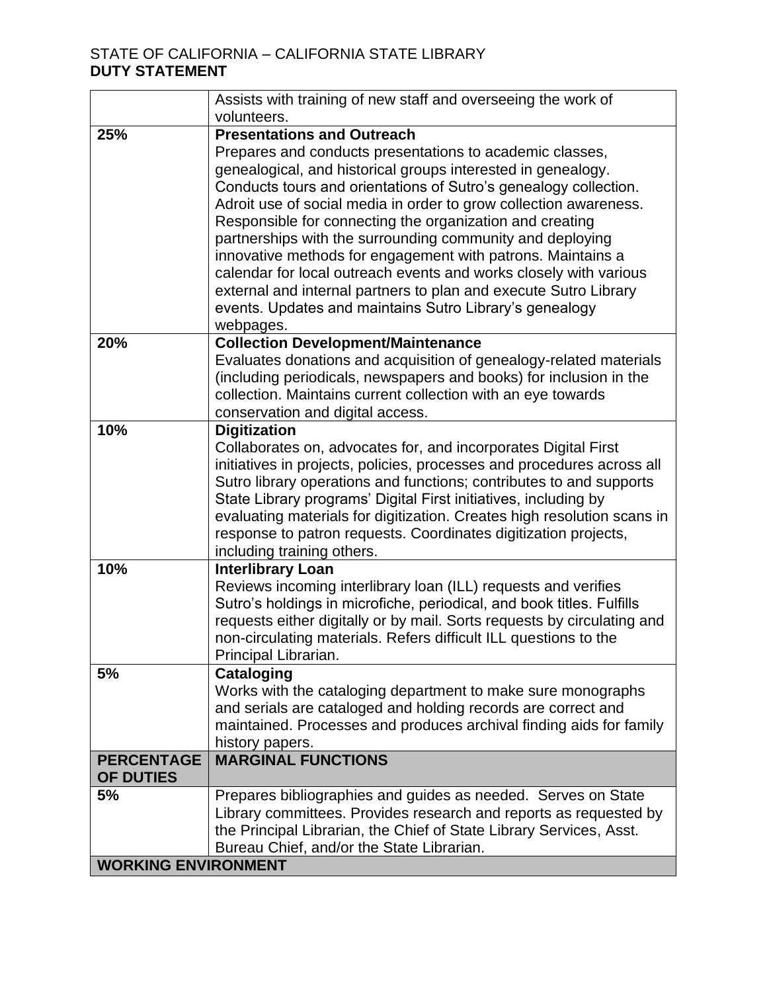|                            | Assists with training of new staff and overseeing the work of<br>volunteers.                     |  |  |
|----------------------------|--------------------------------------------------------------------------------------------------|--|--|
| 25%                        | <b>Presentations and Outreach</b>                                                                |  |  |
|                            | Prepares and conducts presentations to academic classes,                                         |  |  |
|                            | genealogical, and historical groups interested in genealogy.                                     |  |  |
|                            | Conducts tours and orientations of Sutro's genealogy collection.                                 |  |  |
|                            | Adroit use of social media in order to grow collection awareness.                                |  |  |
|                            | Responsible for connecting the organization and creating                                         |  |  |
|                            | partnerships with the surrounding community and deploying                                        |  |  |
|                            | innovative methods for engagement with patrons. Maintains a                                      |  |  |
|                            | calendar for local outreach events and works closely with various                                |  |  |
|                            | external and internal partners to plan and execute Sutro Library                                 |  |  |
|                            | events. Updates and maintains Sutro Library's genealogy                                          |  |  |
|                            | webpages.                                                                                        |  |  |
| 20%                        | <b>Collection Development/Maintenance</b>                                                        |  |  |
|                            | Evaluates donations and acquisition of genealogy-related materials                               |  |  |
|                            | (including periodicals, newspapers and books) for inclusion in the                               |  |  |
|                            | collection. Maintains current collection with an eye towards<br>conservation and digital access. |  |  |
| 10%                        | <b>Digitization</b>                                                                              |  |  |
|                            | Collaborates on, advocates for, and incorporates Digital First                                   |  |  |
|                            | initiatives in projects, policies, processes and procedures across all                           |  |  |
|                            | Sutro library operations and functions; contributes to and supports                              |  |  |
|                            | State Library programs' Digital First initiatives, including by                                  |  |  |
|                            | evaluating materials for digitization. Creates high resolution scans in                          |  |  |
|                            | response to patron requests. Coordinates digitization projects,                                  |  |  |
|                            | including training others.                                                                       |  |  |
| 10%                        | <b>Interlibrary Loan</b>                                                                         |  |  |
|                            | Reviews incoming interlibrary loan (ILL) requests and verifies                                   |  |  |
|                            | Sutro's holdings in microfiche, periodical, and book titles. Fulfills                            |  |  |
|                            | requests either digitally or by mail. Sorts requests by circulating and                          |  |  |
|                            | non-circulating materials. Refers difficult ILL questions to the                                 |  |  |
| 5%                         | Principal Librarian.                                                                             |  |  |
|                            | <b>Cataloging</b><br>Works with the cataloging department to make sure monographs                |  |  |
|                            | and serials are cataloged and holding records are correct and                                    |  |  |
|                            | maintained. Processes and produces archival finding aids for family                              |  |  |
|                            | history papers.                                                                                  |  |  |
| <b>PERCENTAGE</b>          | <b>MARGINAL FUNCTIONS</b>                                                                        |  |  |
| <b>OF DUTIES</b>           |                                                                                                  |  |  |
| 5%                         | Prepares bibliographies and guides as needed. Serves on State                                    |  |  |
|                            | Library committees. Provides research and reports as requested by                                |  |  |
|                            | the Principal Librarian, the Chief of State Library Services, Asst.                              |  |  |
|                            | Bureau Chief, and/or the State Librarian.                                                        |  |  |
| <b>WORKING ENVIRONMENT</b> |                                                                                                  |  |  |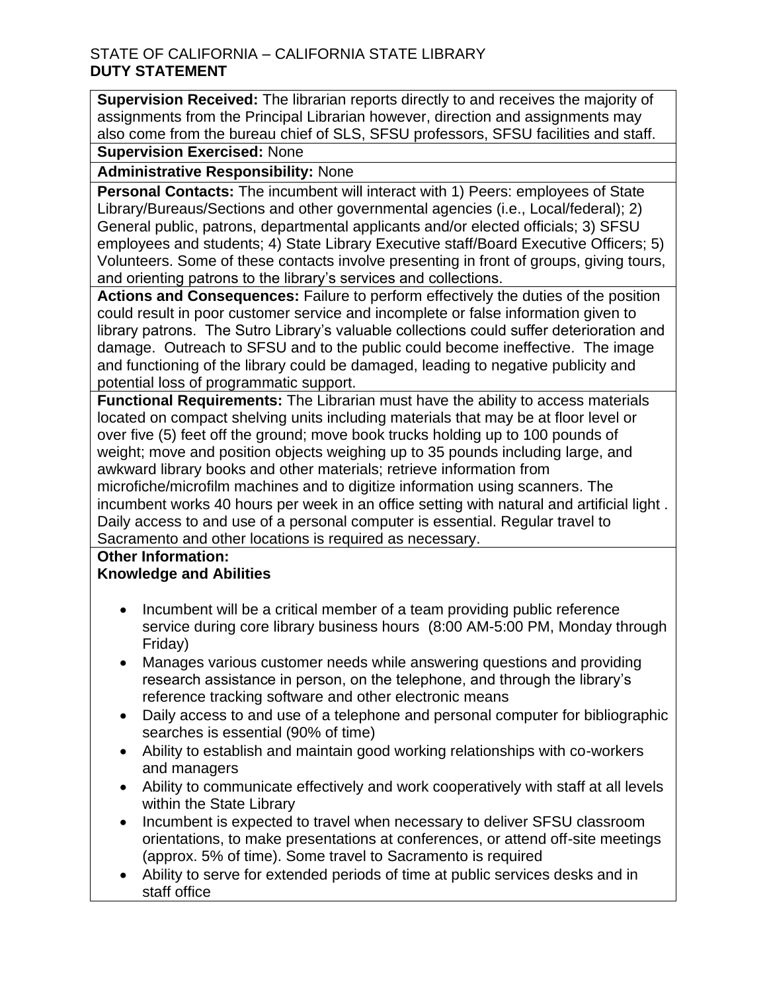**Supervision Received:** The librarian reports directly to and receives the majority of assignments from the Principal Librarian however, direction and assignments may also come from the bureau chief of SLS, SFSU professors, SFSU facilities and staff.

# **Supervision Exercised:** None

**Administrative Responsibility:** None

**Personal Contacts:** The incumbent will interact with 1) Peers: employees of State Library/Bureaus/Sections and other governmental agencies (i.e., Local/federal); 2) General public, patrons, departmental applicants and/or elected officials; 3) SFSU employees and students; 4) State Library Executive staff/Board Executive Officers; 5) Volunteers. Some of these contacts involve presenting in front of groups, giving tours, and orienting patrons to the library's services and collections.

 could result in poor customer service and incomplete or false information given to library patrons. The Sutro Library's valuable collections could suffer deterioration and **Actions and Consequences:** Failure to perform effectively the duties of the position damage. Outreach to SFSU and to the public could become ineffective. The image and functioning of the library could be damaged, leading to negative publicity and potential loss of programmatic support.

 **Functional Requirements:** The Librarian must have the ability to access materials weight; move and position objects weighing up to 35 pounds including large, and microfiche/microfilm machines and to digitize information using scanners. The incumbent works 40 hours per week in an office setting with natural and artificial light . located on compact shelving units including materials that may be at floor level or over five (5) feet off the ground; move book trucks holding up to 100 pounds of awkward library books and other materials; retrieve information from Daily access to and use of a personal computer is essential. Regular travel to

Sacramento and other locations is required as necessary.

### **Other Information: Knowledge and Abilities**

- • Incumbent will be a critical member of a team providing public reference service during core library business hours (8:00 AM-5:00 PM, Monday through Friday)
- • Manages various customer needs while answering questions and providing research assistance in person, on the telephone, and through the library's reference tracking software and other electronic means
- Daily access to and use of a telephone and personal computer for bibliographic searches is essential (90% of time)
- Ability to establish and maintain good working relationships with co-workers and managers
- Ability to communicate effectively and work cooperatively with staff at all levels within the State Library
- Incumbent is expected to travel when necessary to deliver SFSU classroom orientations, to make presentations at conferences, or attend off-site meetings (approx. 5% of time). Some travel to Sacramento is required
- • Ability to serve for extended periods of time at public services desks and in staff office